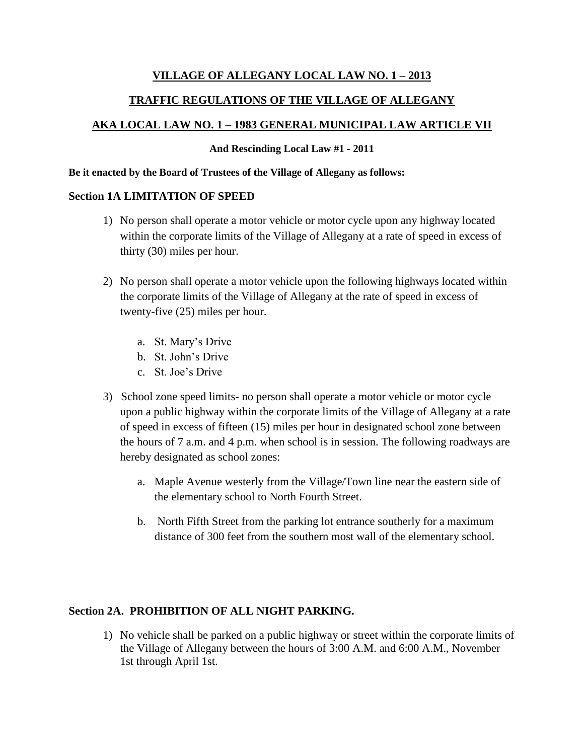## **VILLAGE OF ALLEGANY LOCAL LAW NO. 1 – 2013**

# **TRAFFIC REGULATIONS OF THE VILLAGE OF ALLEGANY**

# **AKA LOCAL LAW NO. 1 – 1983 GENERAL MUNICIPAL LAW ARTICLE VII**

#### **And Rescinding Local Law #1 - 2011**

#### **Be it enacted by the Board of Trustees of the Village of Allegany as follows:**

### **Section 1A LIMITATION OF SPEED**

- 1) No person shall operate a motor vehicle or motor cycle upon any highway located within the corporate limits of the Village of Allegany at a rate of speed in excess of thirty (30) miles per hour.
- 2) No person shall operate a motor vehicle upon the following highways located within the corporate limits of the Village of Allegany at the rate of speed in excess of twenty-five (25) miles per hour.
	- a. St. Mary's Drive
	- b. St. John's Drive
	- c. St. Joe's Drive
- 3) School zone speed limits- no person shall operate a motor vehicle or motor cycle upon a public highway within the corporate limits of the Village of Allegany at a rate of speed in excess of fifteen (15) miles per hour in designated school zone between the hours of 7 a.m. and 4 p.m. when school is in session. The following roadways are hereby designated as school zones:
	- a. Maple Avenue westerly from the Village/Town line near the eastern side of the elementary school to North Fourth Street.
	- b. North Fifth Street from the parking lot entrance southerly for a maximum distance of 300 feet from the southern most wall of the elementary school.

# **Section 2A. PROHIBITION OF ALL NIGHT PARKING.**

1) No vehicle shall be parked on a public highway or street within the corporate limits of the Village of Allegany between the hours of 3:00 A.M. and 6:00 A.M., November 1st through April 1st.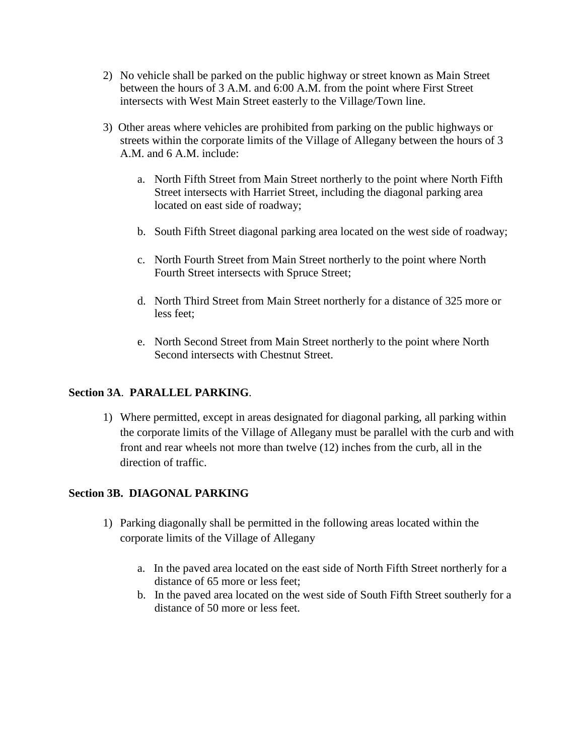- 2) No vehicle shall be parked on the public highway or street known as Main Street between the hours of 3 A.M. and 6:00 A.M. from the point where First Street intersects with West Main Street easterly to the Village/Town line.
- 3) Other areas where vehicles are prohibited from parking on the public highways or streets within the corporate limits of the Village of Allegany between the hours of 3 A.M. and 6 A.M. include:
	- a. North Fifth Street from Main Street northerly to the point where North Fifth Street intersects with Harriet Street, including the diagonal parking area located on east side of roadway;
	- b. South Fifth Street diagonal parking area located on the west side of roadway;
	- c. North Fourth Street from Main Street northerly to the point where North Fourth Street intersects with Spruce Street;
	- d. North Third Street from Main Street northerly for a distance of 325 more or less feet;
	- e. North Second Street from Main Street northerly to the point where North Second intersects with Chestnut Street.

# **Section 3A**. **PARALLEL PARKING**.

1) Where permitted, except in areas designated for diagonal parking, all parking within the corporate limits of the Village of Allegany must be parallel with the curb and with front and rear wheels not more than twelve (12) inches from the curb, all in the direction of traffic.

# **Section 3B. DIAGONAL PARKING**

- 1) Parking diagonally shall be permitted in the following areas located within the corporate limits of the Village of Allegany
	- a. In the paved area located on the east side of North Fifth Street northerly for a distance of 65 more or less feet;
	- b. In the paved area located on the west side of South Fifth Street southerly for a distance of 50 more or less feet.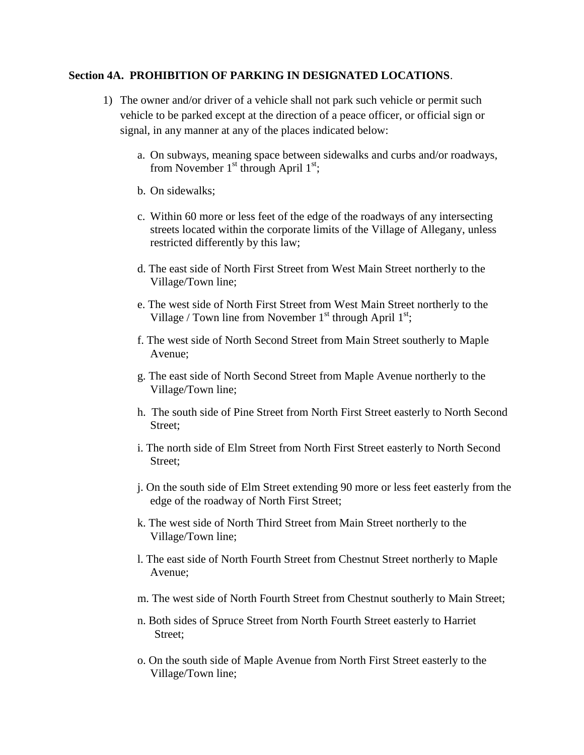#### **Section 4A. PROHIBITION OF PARKING IN DESIGNATED LOCATIONS**.

- 1) The owner and/or driver of a vehicle shall not park such vehicle or permit such vehicle to be parked except at the direction of a peace officer, or official sign or signal, in any manner at any of the places indicated below:
	- a. On subways, meaning space between sidewalks and curbs and/or roadways, from November  $1<sup>st</sup>$  through April  $1<sup>st</sup>$ ;
	- b. On sidewalks;
	- c. Within 60 more or less feet of the edge of the roadways of any intersecting streets located within the corporate limits of the Village of Allegany, unless restricted differently by this law;
	- d. The east side of North First Street from West Main Street northerly to the Village/Town line;
	- e. The west side of North First Street from West Main Street northerly to the Village / Town line from November  $1<sup>st</sup>$  through April  $1<sup>st</sup>$ ;
	- f. The west side of North Second Street from Main Street southerly to Maple Avenue;
	- g. The east side of North Second Street from Maple Avenue northerly to the Village/Town line;
	- h. The south side of Pine Street from North First Street easterly to North Second Street;
	- i. The north side of Elm Street from North First Street easterly to North Second Street;
	- j. On the south side of Elm Street extending 90 more or less feet easterly from the edge of the roadway of North First Street;
	- k. The west side of North Third Street from Main Street northerly to the Village/Town line;
	- l. The east side of North Fourth Street from Chestnut Street northerly to Maple Avenue;
	- m. The west side of North Fourth Street from Chestnut southerly to Main Street;
	- n. Both sides of Spruce Street from North Fourth Street easterly to Harriet Street;
	- o. On the south side of Maple Avenue from North First Street easterly to the Village/Town line;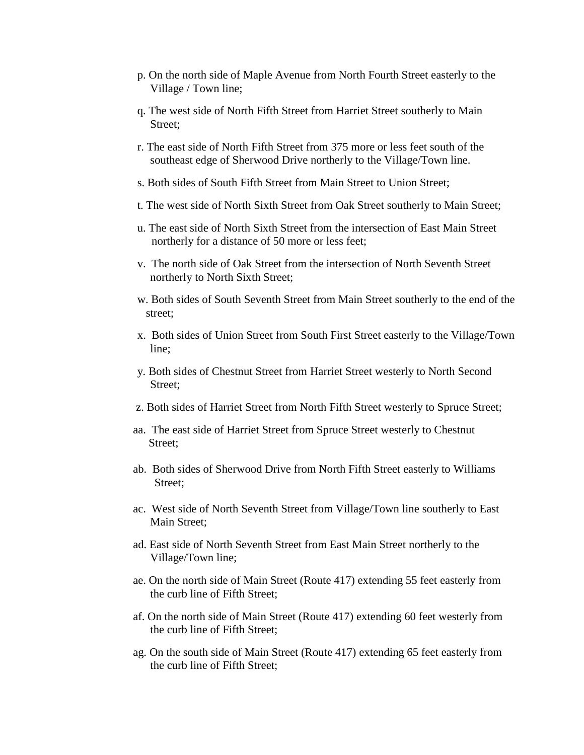- p. On the north side of Maple Avenue from North Fourth Street easterly to the Village / Town line;
- q. The west side of North Fifth Street from Harriet Street southerly to Main Street;
- r. The east side of North Fifth Street from 375 more or less feet south of the southeast edge of Sherwood Drive northerly to the Village/Town line.
- s. Both sides of South Fifth Street from Main Street to Union Street;
- t. The west side of North Sixth Street from Oak Street southerly to Main Street;
- u. The east side of North Sixth Street from the intersection of East Main Street northerly for a distance of 50 more or less feet;
- v. The north side of Oak Street from the intersection of North Seventh Street northerly to North Sixth Street;
- w. Both sides of South Seventh Street from Main Street southerly to the end of the street;
- x. Both sides of Union Street from South First Street easterly to the Village/Town line;
- y. Both sides of Chestnut Street from Harriet Street westerly to North Second Street;
- z. Both sides of Harriet Street from North Fifth Street westerly to Spruce Street;
- aa. The east side of Harriet Street from Spruce Street westerly to Chestnut Street;
- ab. Both sides of Sherwood Drive from North Fifth Street easterly to Williams Street;
- ac. West side of North Seventh Street from Village/Town line southerly to East Main Street;
- ad. East side of North Seventh Street from East Main Street northerly to the Village/Town line;
- ae. On the north side of Main Street (Route 417) extending 55 feet easterly from the curb line of Fifth Street;
- af. On the north side of Main Street (Route 417) extending 60 feet westerly from the curb line of Fifth Street;
- ag. On the south side of Main Street (Route 417) extending 65 feet easterly from the curb line of Fifth Street;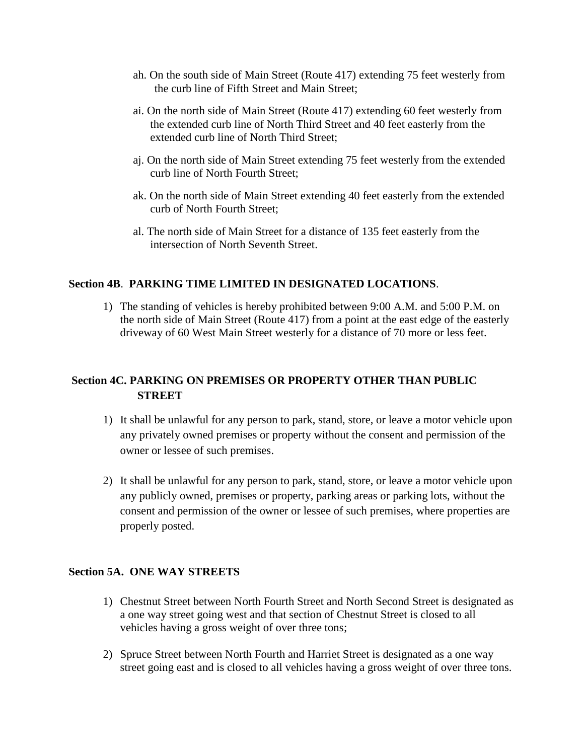- ah. On the south side of Main Street (Route 417) extending 75 feet westerly from the curb line of Fifth Street and Main Street;
- ai. On the north side of Main Street (Route 417) extending 60 feet westerly from the extended curb line of North Third Street and 40 feet easterly from the extended curb line of North Third Street;
- aj. On the north side of Main Street extending 75 feet westerly from the extended curb line of North Fourth Street;
- ak. On the north side of Main Street extending 40 feet easterly from the extended curb of North Fourth Street;
- al. The north side of Main Street for a distance of 135 feet easterly from the intersection of North Seventh Street.

## **Section 4B**. **PARKING TIME LIMITED IN DESIGNATED LOCATIONS**.

1) The standing of vehicles is hereby prohibited between 9:00 A.M. and 5:00 P.M. on the north side of Main Street (Route 417) from a point at the east edge of the easterly driveway of 60 West Main Street westerly for a distance of 70 more or less feet.

# **Section 4C. PARKING ON PREMISES OR PROPERTY OTHER THAN PUBLIC STREET**

- 1) It shall be unlawful for any person to park, stand, store, or leave a motor vehicle upon any privately owned premises or property without the consent and permission of the owner or lessee of such premises.
- 2) It shall be unlawful for any person to park, stand, store, or leave a motor vehicle upon any publicly owned, premises or property, parking areas or parking lots, without the consent and permission of the owner or lessee of such premises, where properties are properly posted.

### **Section 5A. ONE WAY STREETS**

- 1) Chestnut Street between North Fourth Street and North Second Street is designated as a one way street going west and that section of Chestnut Street is closed to all vehicles having a gross weight of over three tons;
- 2) Spruce Street between North Fourth and Harriet Street is designated as a one way street going east and is closed to all vehicles having a gross weight of over three tons.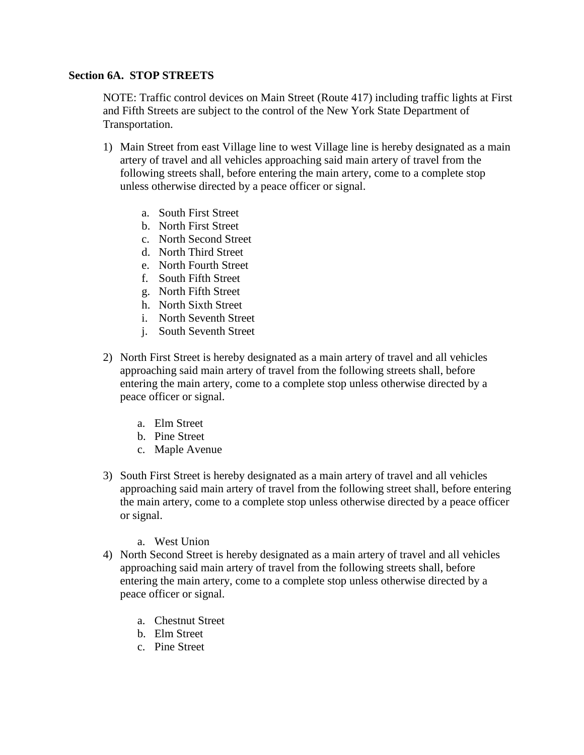### **Section 6A. STOP STREETS**

NOTE: Traffic control devices on Main Street (Route 417) including traffic lights at First and Fifth Streets are subject to the control of the New York State Department of Transportation.

- 1) Main Street from east Village line to west Village line is hereby designated as a main artery of travel and all vehicles approaching said main artery of travel from the following streets shall, before entering the main artery, come to a complete stop unless otherwise directed by a peace officer or signal.
	- a. South First Street
	- b. North First Street
	- c. North Second Street
	- d. North Third Street
	- e. North Fourth Street
	- f. South Fifth Street
	- g. North Fifth Street
	- h. North Sixth Street
	- i. North Seventh Street
	- j. South Seventh Street
- 2) North First Street is hereby designated as a main artery of travel and all vehicles approaching said main artery of travel from the following streets shall, before entering the main artery, come to a complete stop unless otherwise directed by a peace officer or signal.
	- a. Elm Street
	- b. Pine Street
	- c. Maple Avenue
- 3) South First Street is hereby designated as a main artery of travel and all vehicles approaching said main artery of travel from the following street shall, before entering the main artery, come to a complete stop unless otherwise directed by a peace officer or signal.
	- a. West Union
- 4) North Second Street is hereby designated as a main artery of travel and all vehicles approaching said main artery of travel from the following streets shall, before entering the main artery, come to a complete stop unless otherwise directed by a peace officer or signal.
	- a. Chestnut Street
	- b. Elm Street
	- c. Pine Street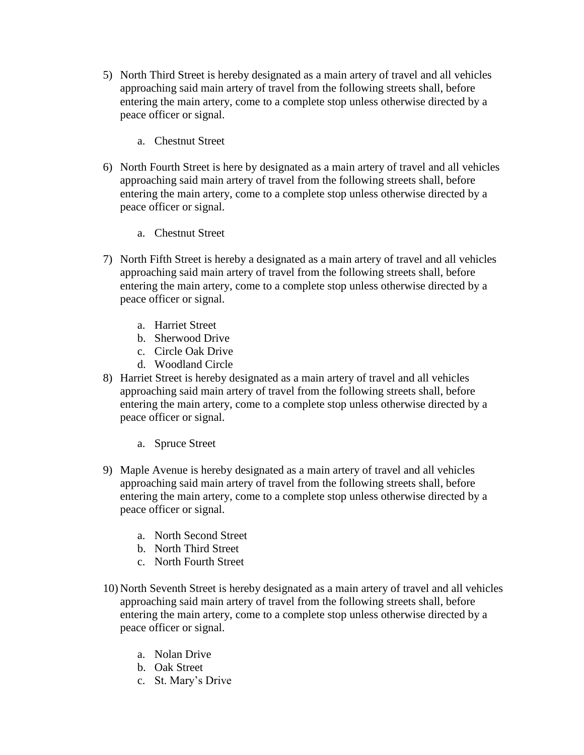- 5) North Third Street is hereby designated as a main artery of travel and all vehicles approaching said main artery of travel from the following streets shall, before entering the main artery, come to a complete stop unless otherwise directed by a peace officer or signal.
	- a. Chestnut Street
- 6) North Fourth Street is here by designated as a main artery of travel and all vehicles approaching said main artery of travel from the following streets shall, before entering the main artery, come to a complete stop unless otherwise directed by a peace officer or signal.
	- a. Chestnut Street
- 7) North Fifth Street is hereby a designated as a main artery of travel and all vehicles approaching said main artery of travel from the following streets shall, before entering the main artery, come to a complete stop unless otherwise directed by a peace officer or signal.
	- a. Harriet Street
	- b. Sherwood Drive
	- c. Circle Oak Drive
	- d. Woodland Circle
- 8) Harriet Street is hereby designated as a main artery of travel and all vehicles approaching said main artery of travel from the following streets shall, before entering the main artery, come to a complete stop unless otherwise directed by a peace officer or signal.
	- a. Spruce Street
- 9) Maple Avenue is hereby designated as a main artery of travel and all vehicles approaching said main artery of travel from the following streets shall, before entering the main artery, come to a complete stop unless otherwise directed by a peace officer or signal.
	- a. North Second Street
	- b. North Third Street
	- c. North Fourth Street
- 10) North Seventh Street is hereby designated as a main artery of travel and all vehicles approaching said main artery of travel from the following streets shall, before entering the main artery, come to a complete stop unless otherwise directed by a peace officer or signal.
	- a. Nolan Drive
	- b. Oak Street
	- c. St. Mary's Drive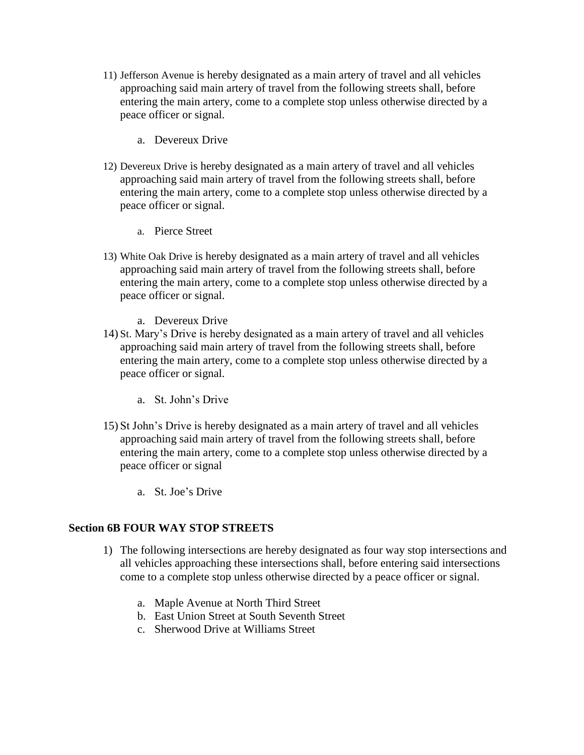- 11) Jefferson Avenue is hereby designated as a main artery of travel and all vehicles approaching said main artery of travel from the following streets shall, before entering the main artery, come to a complete stop unless otherwise directed by a peace officer or signal.
	- a. Devereux Drive
- 12) Devereux Drive is hereby designated as a main artery of travel and all vehicles approaching said main artery of travel from the following streets shall, before entering the main artery, come to a complete stop unless otherwise directed by a peace officer or signal.
	- a. Pierce Street
- 13) White Oak Drive is hereby designated as a main artery of travel and all vehicles approaching said main artery of travel from the following streets shall, before entering the main artery, come to a complete stop unless otherwise directed by a peace officer or signal.
	- a. Devereux Drive
- 14) St. Mary's Drive is hereby designated as a main artery of travel and all vehicles approaching said main artery of travel from the following streets shall, before entering the main artery, come to a complete stop unless otherwise directed by a peace officer or signal.
	- a. St. John's Drive
- 15) St John's Drive is hereby designated as a main artery of travel and all vehicles approaching said main artery of travel from the following streets shall, before entering the main artery, come to a complete stop unless otherwise directed by a peace officer or signal
	- a. St. Joe's Drive

### **Section 6B FOUR WAY STOP STREETS**

- 1) The following intersections are hereby designated as four way stop intersections and all vehicles approaching these intersections shall, before entering said intersections come to a complete stop unless otherwise directed by a peace officer or signal.
	- a. Maple Avenue at North Third Street
	- b. East Union Street at South Seventh Street
	- c. Sherwood Drive at Williams Street